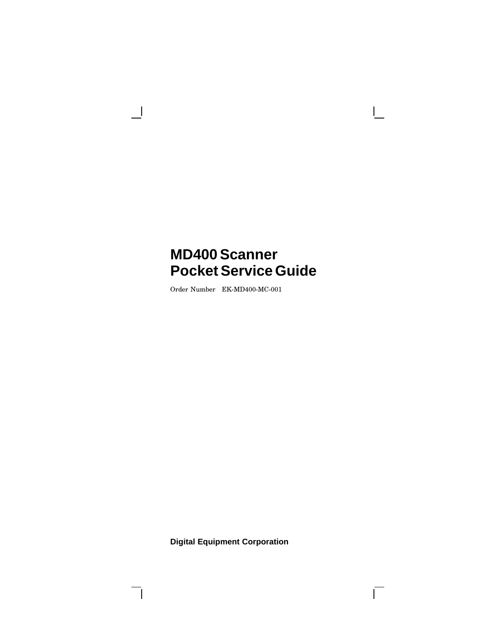Order Number EK-MD400-MC-001

 $\overline{\phantom{a}}$ 

 $\blacksquare$ 

**Digital Equipment Corporation**

 $\overline{\Gamma}$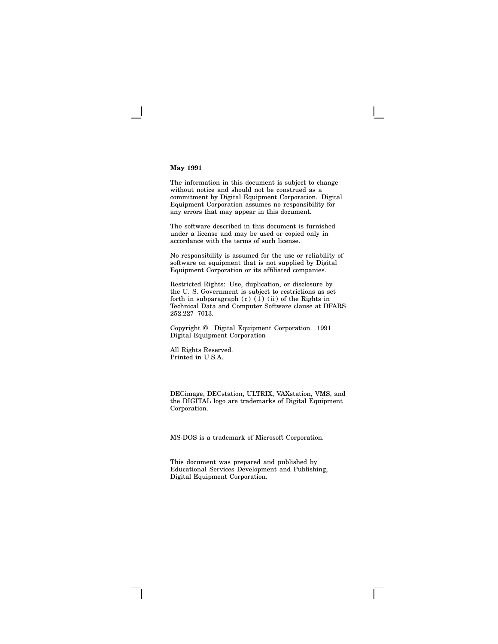#### **May 1991**

The information in this document is subject to change without notice and should not be construed as a commitment by Digital Equipment Corporation. Digital Equipment Corporation assumes no responsibility for any errors that may appear in this document.

The software described in this document is furnished under a license and may be used or copied only in accordance with the terms of such license.

No responsibility is assumed for the use or reliability of software on equipment that is not supplied by Digital Equipment Corporation or its affiliated companies.

Restricted Rights: Use, duplication, or disclosure by the U. S. Government is subject to restrictions as set forth in subparagraph  $(c)$   $(1)$   $(ii)$  of the Rights in Technical Data and Computer Software clause at DFARS 252.227–7013.

Copyright © Digital Equipment Corporation 1991 Digital Equipment Corporation

All Rights Reserved. Printed in U.S.A.

DECimage, DECstation, ULTRIX, VAXstation, VMS, and the DIGITAL logo are trademarks of Digital Equipment Corporation.

MS-DOS is a trademark of Microsoft Corporation.

This document was prepared and published by Educational Services Development and Publishing, Digital Equipment Corporation.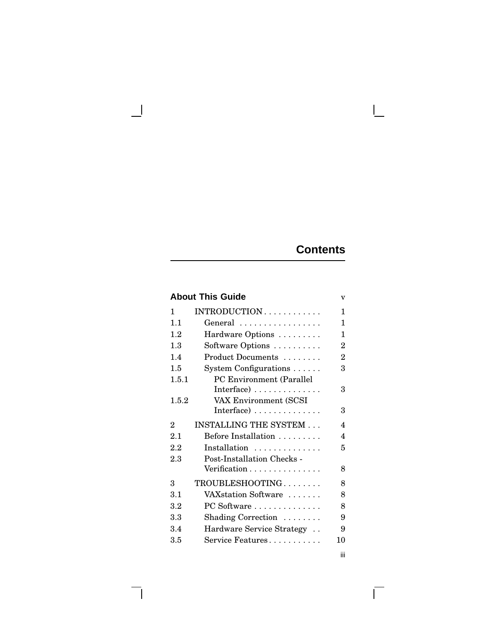# **Contents**

 $\Box$ 

 $\overline{\Gamma}$ 

|                             | <b>About This Guide</b>                | v              |
|-----------------------------|----------------------------------------|----------------|
| 1                           | INTRODUCTION                           | 1              |
| 1.1                         | General                                | 1              |
| 1.2                         | Hardware Options                       | 1              |
| 1.3                         | Software Options                       | $\overline{2}$ |
| 1.4                         | Product Documents                      | $\overline{2}$ |
| 1.5                         | System Configurations                  | 3              |
| 1.5.1                       | PC Environment (Parallel<br>Interface) | 3              |
| 1.5.2                       | VAX Environment (SCSI<br>Interface)    | 3              |
| $\mathcal{D}_{\mathcal{L}}$ | <b>INSTALLING THE SYSTEM </b>          | 4              |
| 2.1                         | Before Installation                    | 4              |
| 2.2                         | Installation                           | 5              |
| 2.3                         | Post-Installation Checks -             |                |
|                             | Verification                           | 8              |
| 3                           | TROUBLESHOOTING                        | 8              |
| 3.1                         | VAXstation Software                    | 8              |
| 3.2                         | PC Software                            | 8              |
| 3.3                         | Shading Correction                     | 9              |
| 3.4                         | Hardware Service Strategy              | 9              |
| 3.5                         | Service Features                       | 10             |
|                             |                                        | iii            |

 $\Box$ 

ヿ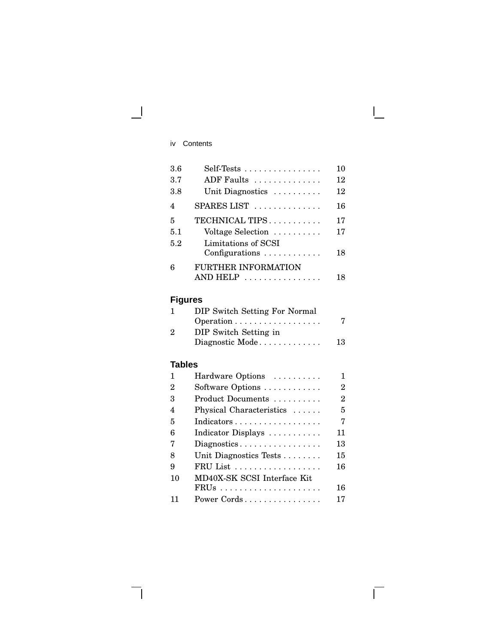# iv Contents

 $\overline{\phantom{0}}$ 

| 3.6 | $Self-Tests \ldots \ldots \ldots \ldots$                     | 10 |
|-----|--------------------------------------------------------------|----|
| 3.7 | ADF Faults                                                   | 12 |
| 3.8 | Unit Diagnostics                                             | 12 |
| 4   | SPARES LIST                                                  | 16 |
| 5   | TECHNICAL TIPS                                               | 17 |
| 5.1 | Voltage Selection                                            | 17 |
| 5.2 | Limitations of SCSI<br>Configurations $\ldots \ldots \ldots$ | 18 |
| 6   | FURTHER INFORMATION                                          |    |
|     | AND HELP<br>.                                                | 18 |

 $\mathbf{L}$ 

 $\overline{\Gamma}$ 

# **Figures**

|          | DIP Switch Setting For Normal |    |
|----------|-------------------------------|----|
|          |                               | 7  |
| $\Omega$ | DIP Switch Setting in         |    |
|          | Diagnostic Mode               | 13 |

# **Tables**

ヿ

| 1  | Hardware Options            |    |
|----|-----------------------------|----|
| 2  | Software Options            | 2  |
| З  | Product Documents           | 2  |
| 4  | Physical Characteristics    | 5  |
| 5  | Indicators                  | 7  |
| 6  | Indicator Displays          | 11 |
| 7  | Diagnostics                 | 13 |
| 8  | Unit Diagnostics Tests      | 15 |
| 9  | $FRU List$                  | 16 |
| 10 | MD40X-SK SCSI Interface Kit |    |
|    |                             | 16 |
|    | Power Cords                 | 17 |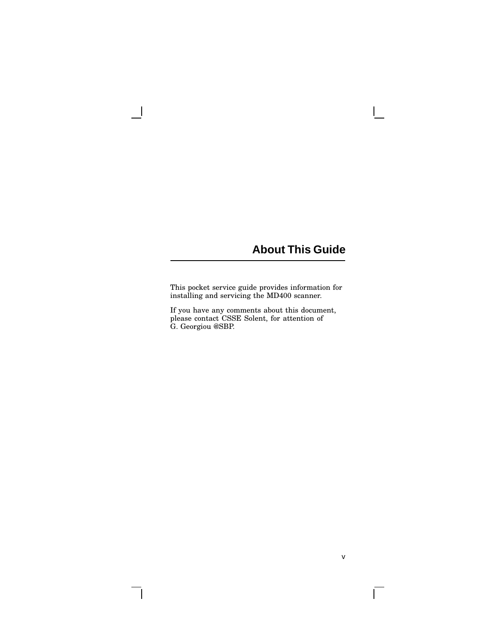# **About This Guide**

 $\mathbf{L}$ 

v

 $\overline{\Gamma}$ 

This pocket service guide provides information for installing and servicing the MD400 scanner.

 $\overline{\phantom{a}}$ 

 $\Box$ 

If you have any comments about this document, please contact CSSE Solent, for attention of G. Georgiou @SBP.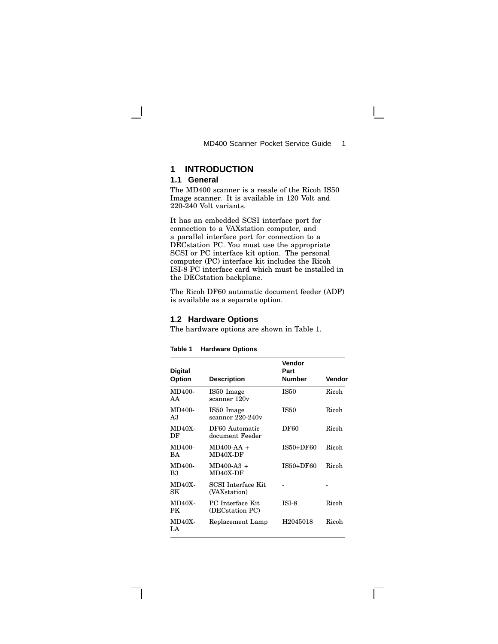# **1 INTRODUCTION**

## **1.1 General**

The MD400 scanner is a resale of the Ricoh IS50 Image scanner. It is available in 120 Volt and 220-240 Volt variants.

It has an embedded SCSI interface port for connection to a VAXstation computer, and a parallel interface port for connection to a DECstation PC. You must use the appropriate SCSI or PC interface kit option. The personal computer (PC) interface kit includes the Ricoh ISI-8 PC interface card which must be installed in the DECstation backplane.

The Ricoh DF60 automatic document feeder (ADF) is available as a separate option.

# **1.2 Hardware Options**

The hardware options are shown in Table 1.

| <b>Digital</b>      |                                           | Vendor<br>Part |        |
|---------------------|-------------------------------------------|----------------|--------|
| <b>Option</b>       | <b>Description</b>                        | <b>Number</b>  | Vendor |
| MD400-<br>AA        | IS50 Image<br>scanner 120v                | <b>IS50</b>    | Ricoh  |
| MD400-<br>A3        | IS50 Image<br>scanner 220-240v            | <b>IS50</b>    | Ricoh  |
| $MD40X-$<br>DF      | DF60 Automatic<br>document Feeder         | <b>DF60</b>    | Ricoh  |
| MD400-<br>RА.       | $MD400-AA +$<br>MD40X-DF                  | IS50+DF60      | Ricoh  |
| MD400-<br>B3        | $MD400-A3 +$<br>MD40X-DF                  | IS50+DF60      | Ricoh  |
| <b>MD40X-</b><br>SK | <b>SCSI</b> Interface Kit<br>(VAXstation) |                |        |
| <b>MD40X-</b><br>РK | PC Interface Kit<br>(DECstation PC)       | ISI-8          | Ricoh  |
| $MD40X-$<br>LA.     | Replacement Lamp                          | H2045018       | Ricoh  |

 $\mathbf{L}$ 

## **Table 1 Hardware Options**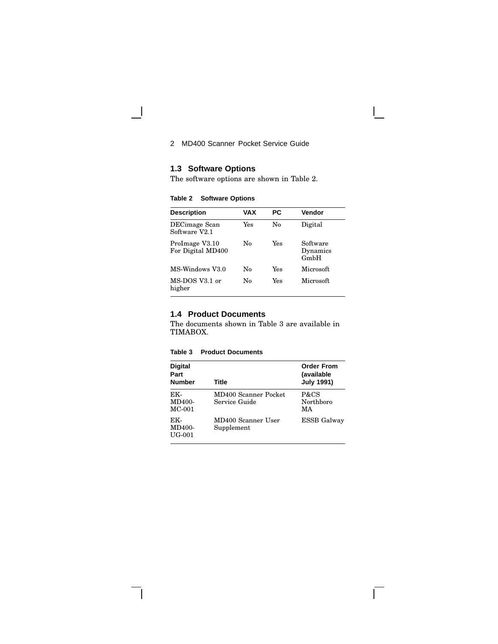# **1.3 Software Options**

 $\overline{\phantom{a}}$ 

 $\mathbf{I}$ 

The software options are shown in Table 2.

**Table 2 Software Options**

| <b>Description</b>                  | VAX | РC  | Vendor                       |
|-------------------------------------|-----|-----|------------------------------|
| DECimage Scan<br>Software V2.1      | Yes | No  | Digital                      |
| ProImage V3.10<br>For Digital MD400 | No  | Yes | Software<br>Dynamics<br>GmbH |
| MS-Windows V3.0                     | No  | Yes | Microsoft                    |
| MS-DOS V3.1 or<br>higher            | No  | Yes | Microsoft.                   |

# **1.4 Product Documents**

The documents shown in Table 3 are available in TIMABOX.

#### **Table 3 Product Documents**

| <b>Digital</b><br>Part<br><b>Number</b> | Title                                 | <b>Order From</b><br>(available<br><b>July 1991)</b> |
|-----------------------------------------|---------------------------------------|------------------------------------------------------|
| EK-<br>MD400-<br>$MC-001$               | MD400 Scanner Pocket<br>Service Guide | P&CS<br>Northboro<br>МA                              |
| EK-<br><b>MD400-</b><br>UG-001          | MD400 Scanner User<br>Supplement      | <b>ESSB</b> Galway                                   |

 $\overline{\Gamma}$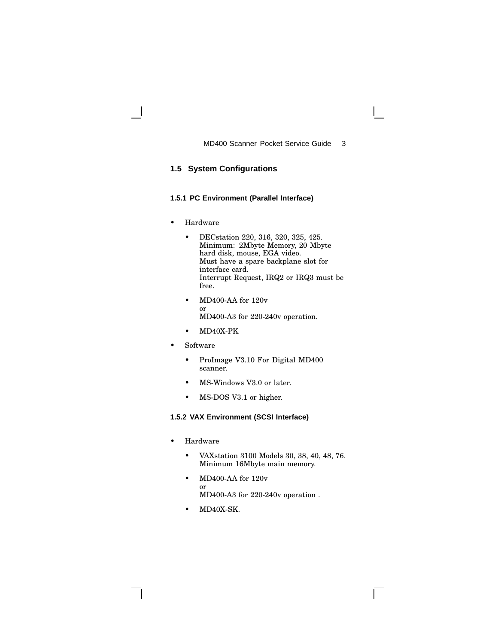# **1.5 System Configurations**

## **1.5.1 PC Environment (Parallel Interface)**

- Hardware
	- DECstation 220, 316, 320, 325, 425. Minimum: 2Mbyte Memory, 20 Mbyte hard disk, mouse, EGA video. Must have a spare backplane slot for interface card. Interrupt Request, IRQ2 or IRQ3 must be free.
	- MD400-AA for 120v or MD400-A3 for 220-240v operation.
	- MD40X-PK
- Software
	- ProImage V3.10 For Digital MD400 scanner.
	- MS-Windows V3.0 or later.
	- MS-DOS V3.1 or higher.

## **1.5.2 VAX Environment (SCSI Interface)**

- Hardware
	- VAXstation 3100 Models 30, 38, 40, 48, 76. Minimum 16Mbyte main memory.
	- MD400-AA for 120v or MD400-A3 for 220-240v operation .
	- MD40X-SK.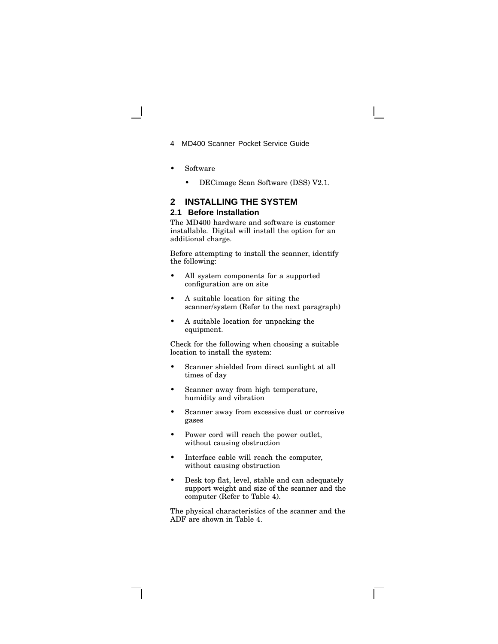- 4 MD400 Scanner Pocket Service Guide
- Software
	- DECimage Scan Software (DSS) V2.1.

# **2 INSTALLING THE SYSTEM**

#### **2.1 Before Installation**

The MD400 hardware and software is customer installable. Digital will install the option for an additional charge.

Before attempting to install the scanner, identify the following:

- All system components for a supported configuration are on site
- A suitable location for siting the scanner/system (Refer to the next paragraph)
- A suitable location for unpacking the equipment.

Check for the following when choosing a suitable location to install the system:

- Scanner shielded from direct sunlight at all times of day
- Scanner away from high temperature, humidity and vibration
- Scanner away from excessive dust or corrosive gases
- Power cord will reach the power outlet, without causing obstruction
- Interface cable will reach the computer, without causing obstruction
- Desk top flat, level, stable and can adequately support weight and size of the scanner and the computer (Refer to Table 4).

The physical characteristics of the scanner and the ADF are shown in Table 4.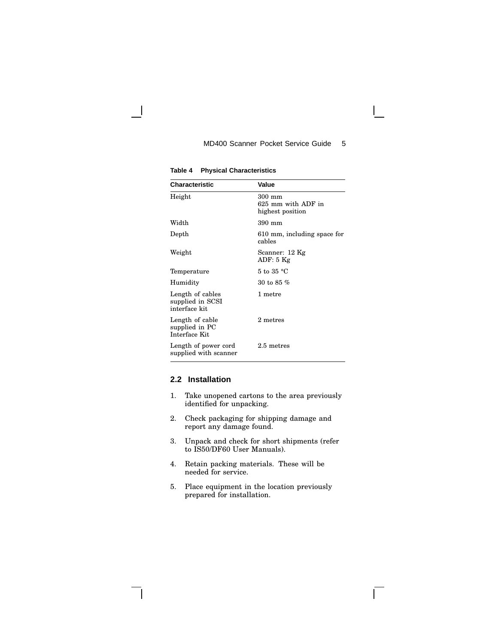| <b>Characteristic</b>                                 | Value                                            |  |
|-------------------------------------------------------|--------------------------------------------------|--|
| Height                                                | 300 mm<br>625 mm with ADF in<br>highest position |  |
| Width                                                 | 390 mm                                           |  |
| Depth                                                 | 610 mm, including space for<br>cables            |  |
| Weight                                                | Scanner: 12 Kg<br>ADF: 5 Kg                      |  |
| Temperature                                           | 5 to 35 °C                                       |  |
| Humidity                                              | $30$ to $85\ \%$                                 |  |
| Length of cables<br>supplied in SCSI<br>interface kit | 1 metre                                          |  |
| Length of cable<br>supplied in PC<br>Interface Kit    | 2 metres                                         |  |
| Length of power cord<br>supplied with scanner         | 2.5 metres                                       |  |

**Table 4 Physical Characteristics**

## **2.2 Installation**

- 1. Take unopened cartons to the area previously identified for unpacking.
- 2. Check packaging for shipping damage and report any damage found.
- 3. Unpack and check for short shipments (refer to IS50/DF60 User Manuals).
- 4. Retain packing materials. These will be needed for service.
- 5. Place equipment in the location previously prepared for installation.

 $\mathbf{L}$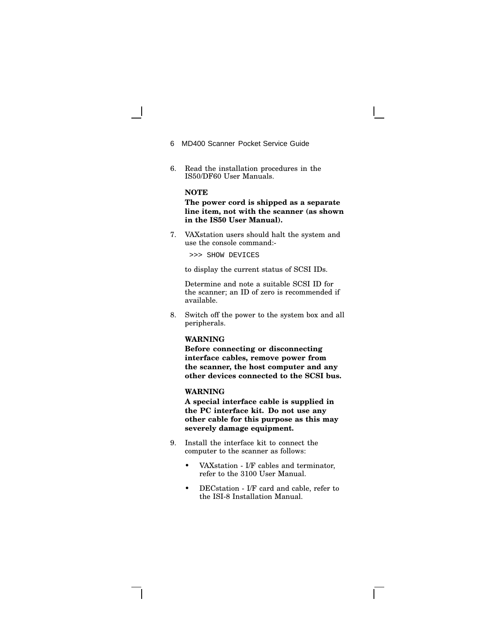- 6 MD400 Scanner Pocket Service Guide
- 6. Read the installation procedures in the IS50/DF60 User Manuals.

## **NOTE**

**The power cord is shipped as a separate line item, not with the scanner (as shown in the IS50 User Manual).**

7. VAXstation users should halt the system and use the console command:-

>>> SHOW DEVICES

to display the current status of SCSI IDs.

Determine and note a suitable SCSI ID for the scanner; an ID of zero is recommended if available.

8. Switch off the power to the system box and all peripherals.

#### **WARNING**

**Before connecting or disconnecting interface cables, remove power from the scanner, the host computer and any other devices connected to the SCSI bus.**

#### **WARNING**

**A special interface cable is supplied in the PC interface kit. Do not use any other cable for this purpose as this may severely damage equipment.**

- 9. Install the interface kit to connect the computer to the scanner as follows:
	- VAXstation I/F cables and terminator, refer to the 3100 User Manual.
	- DECstation I/F card and cable, refer to the ISI-8 Installation Manual.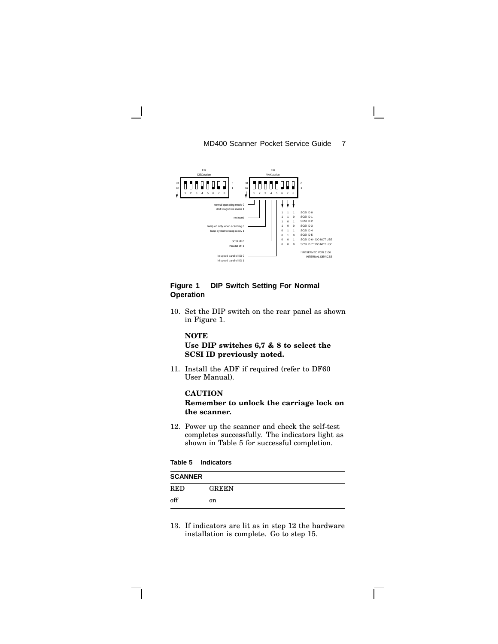

# **Figure 1 DIP Switch Setting For Normal Operation**

10. Set the DIP switch on the rear panel as shown in Figure 1.

# **NOTE**

## **Use DIP switches 6,7 & 8 to select the SCSI ID previously noted.**

11. Install the ADF if required (refer to DF60 User Manual).

# **CAUTION**

**Remember to unlock the carriage lock on the scanner.**

12. Power up the scanner and check the self-test completes successfully. The indicators light as shown in Table 5 for successful completion.

#### **Table 5 Indicators**

| <b>SCANNER</b> |              |  |
|----------------|--------------|--|
| <b>RED</b>     | <b>GREEN</b> |  |
| off            | on           |  |

13. If indicators are lit as in step 12 the hardware installation is complete. Go to step 15.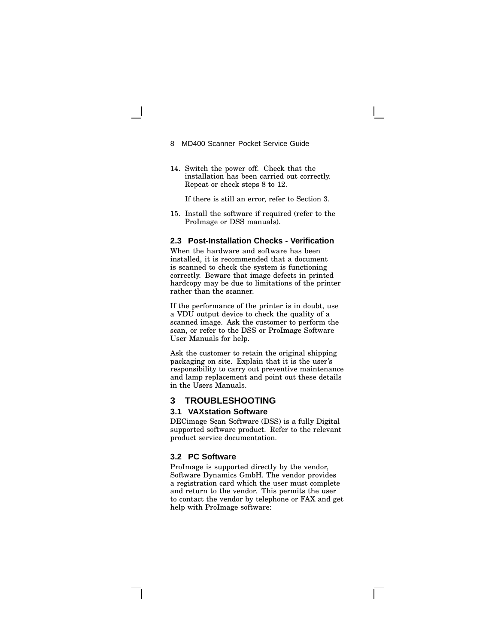- 8 MD400 Scanner Pocket Service Guide
- 14. Switch the power off. Check that the installation has been carried out correctly. Repeat or check steps 8 to 12.

If there is still an error, refer to Section 3.

15. Install the software if required (refer to the ProImage or DSS manuals).

## **2.3 Post-Installation Checks - Verification**

When the hardware and software has been installed, it is recommended that a document is scanned to check the system is functioning correctly. Beware that image defects in printed hardcopy may be due to limitations of the printer rather than the scanner.

If the performance of the printer is in doubt, use a VDU output device to check the quality of a scanned image. Ask the customer to perform the scan, or refer to the DSS or ProImage Software User Manuals for help.

Ask the customer to retain the original shipping packaging on site. Explain that it is the user's responsibility to carry out preventive maintenance and lamp replacement and point out these details in the Users Manuals.

## **3 TROUBLESHOOTING**

## **3.1 VAXstation Software**

DECimage Scan Software (DSS) is a fully Digital supported software product. Refer to the relevant product service documentation.

#### **3.2 PC Software**

ProImage is supported directly by the vendor, Software Dynamics GmbH. The vendor provides a registration card which the user must complete and return to the vendor. This permits the user to contact the vendor by telephone or FAX and get help with ProImage software: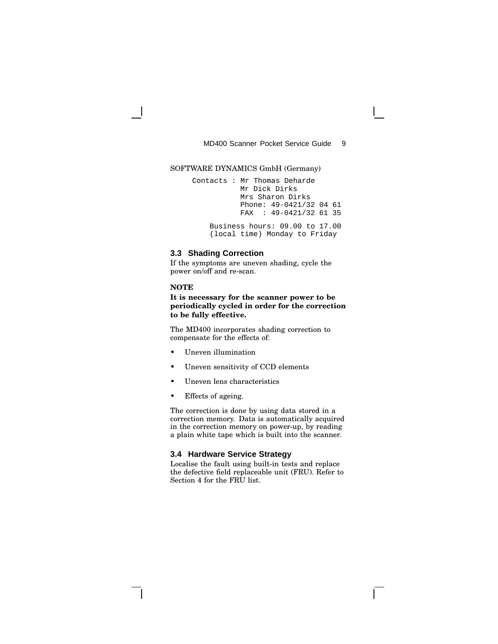#### SOFTWARE DYNAMICS GmbH (Germany)

Contacts : Mr Thomas Deharde Mr Dick Dirks Mrs Sharon Dirks Phone: 49-0421/32 04 61 FAX : 49-0421/32 61 35

Business hours: 09.00 to 17.00 (local time) Monday to Friday

#### **3.3 Shading Correction**

If the symptoms are uneven shading, cycle the power on/off and re-scan.

#### **NOTE**

## **It is necessary for the scanner power to be periodically cycled in order for the correction to be fully effective.**

The MD400 incorporates shading correction to compensate for the effects of:

- Uneven illumination
- Uneven sensitivity of CCD elements
- Uneven lens characteristics
- Effects of ageing.

The correction is done by using data stored in a correction memory. Data is automatically acquired in the correction memory on power-up, by reading a plain white tape which is built into the scanner.

# **3.4 Hardware Service Strategy**

Localise the fault using built-in tests and replace the defective field replaceable unit (FRU). Refer to Section 4 for the FRU list.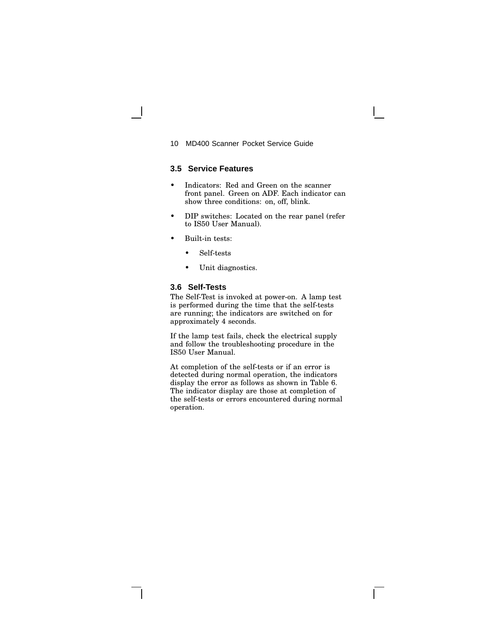## **3.5 Service Features**

- Indicators: Red and Green on the scanner front panel. Green on ADF. Each indicator can show three conditions: on, off, blink.
- DIP switches: Located on the rear panel (refer to IS50 User Manual).
- Built-in tests:
	- Self-tests
	- Unit diagnostics.

#### **3.6 Self-Tests**

The Self-Test is invoked at power-on. A lamp test is performed during the time that the self-tests are running; the indicators are switched on for approximately 4 seconds.

If the lamp test fails, check the electrical supply and follow the troubleshooting procedure in the IS50 User Manual.

At completion of the self-tests or if an error is detected during normal operation, the indicators display the error as follows as shown in Table 6. The indicator display are those at completion of the self-tests or errors encountered during normal operation.

 $\mathbf{L}$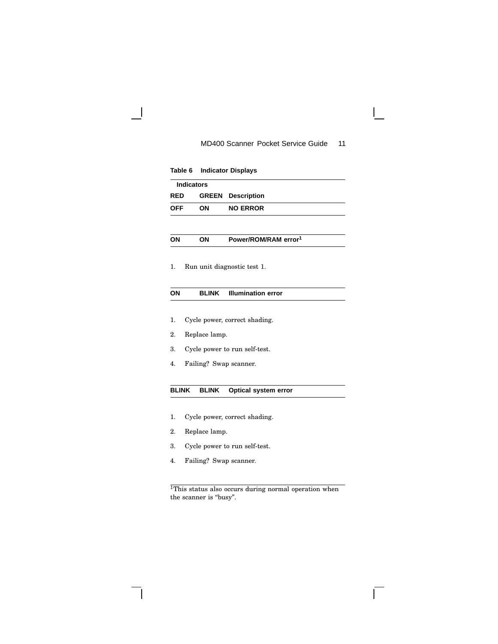$\overline{\phantom{a}}$ 

|                                                      | Table 6                       | <b>Indicator Displays</b>        |  |
|------------------------------------------------------|-------------------------------|----------------------------------|--|
|                                                      | <b>Indicators</b>             |                                  |  |
| <b>RED</b>                                           | <b>GREEN</b>                  | <b>Description</b>               |  |
| <b>OFF</b>                                           | ON                            | <b>NO ERROR</b>                  |  |
|                                                      |                               |                                  |  |
| ON                                                   | ON                            | Power/ROM/RAM error <sup>1</sup> |  |
|                                                      |                               |                                  |  |
| 1.                                                   |                               | Run unit diagnostic test 1.      |  |
|                                                      |                               |                                  |  |
| ON                                                   | <b>BLINK</b>                  | <b>Illumination error</b>        |  |
|                                                      |                               |                                  |  |
| 1.                                                   |                               | Cycle power, correct shading.    |  |
| 2.                                                   | Replace lamp.                 |                                  |  |
| 3.                                                   | Cycle power to run self-test. |                                  |  |
| 4.                                                   | Failing? Swap scanner.        |                                  |  |
|                                                      |                               |                                  |  |
| <b>BLINK</b><br><b>BLINK</b><br>Optical system error |                               |                                  |  |
|                                                      |                               |                                  |  |
| 1.                                                   |                               | Cycle power, correct shading.    |  |
| 2.                                                   | Replace lamp.                 |                                  |  |

- 3. Cycle power to run self-test.
- 4. Failing? Swap scanner.

<sup>1</sup>This status also occurs during normal operation when the scanner is "busy".

 $\Gamma$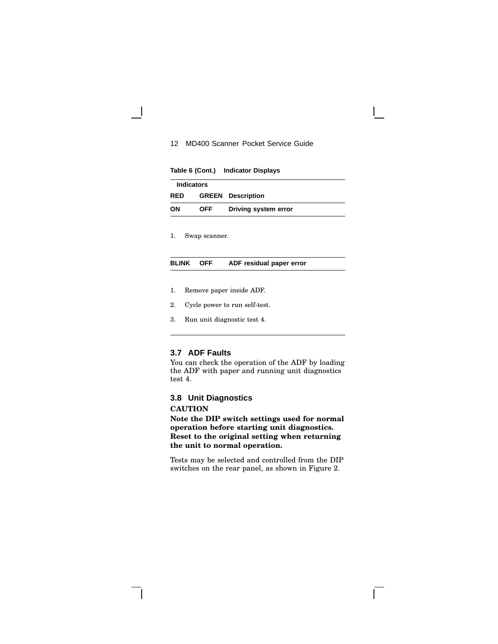**Table 6 (Cont.) Indicator Displays**

| <b>Indicators</b> |     |                          |
|-------------------|-----|--------------------------|
| <b>RED</b>        |     | <b>GREEN</b> Description |
| OΝ                | OFF | Driving system error     |

1. Swap scanner.

#### **BLINK OFF ADF residual paper error**

- 1. Remove paper inside ADF.
- 2. Cycle power to run self-test.
- 3. Run unit diagnostic test 4.

## **3.7 ADF Faults**

You can check the operation of the ADF by loading the ADF with paper and running unit diagnostics test 4.

# **3.8 Unit Diagnostics**

#### **CAUTION**

**Note the DIP switch settings used for normal operation before starting unit diagnostics. Reset to the original setting when returning the unit to normal operation.**

Tests may be selected and controlled from the DIP switches on the rear panel, as shown in Figure 2.

 $\mathbf{L}$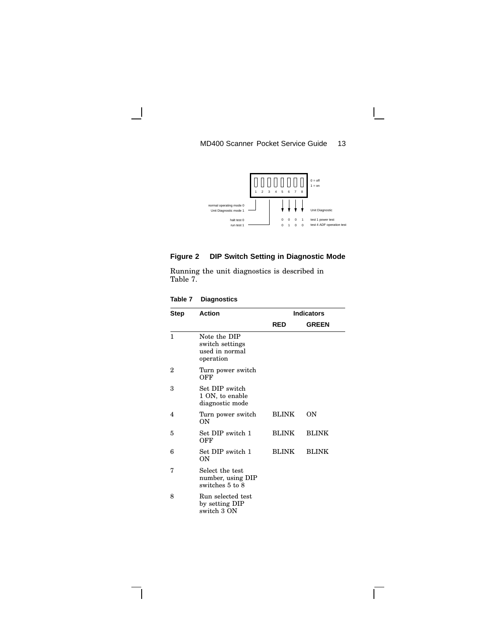

# **Figure 2 DIP Switch Setting in Diagnostic Mode**

Running the unit diagnostics is described in Table 7.

| Table 7 |  | <b>Diagnostics</b> |
|---------|--|--------------------|
|         |  |                    |

 $\mathbf{I}$ 

| Step | <b>Action</b>                                                  | <b>Indicators</b> |              |  |
|------|----------------------------------------------------------------|-------------------|--------------|--|
|      |                                                                | <b>RED</b>        | <b>GREEN</b> |  |
| 1    | Note the DIP<br>switch settings<br>used in normal<br>operation |                   |              |  |
| 2    | Turn power switch<br>OFF                                       |                   |              |  |
| 3    | Set DIP switch<br>1 ON, to enable<br>diagnostic mode           |                   |              |  |
| 4    | Turn power switch<br>ON                                        | <b>BLINK</b>      | ON           |  |
| 5    | Set DIP switch 1<br>OFF                                        | <b>BLINK</b>      | <b>BLINK</b> |  |
| 6    | Set DIP switch 1<br>OΝ                                         | <b>BLINK</b>      | <b>BLINK</b> |  |
| 7    | Select the test<br>number, using DIP<br>switches 5 to 8        |                   |              |  |
| 8    | Run selected test<br>by setting DIP<br>switch 3 ON             |                   |              |  |

 $\Gamma$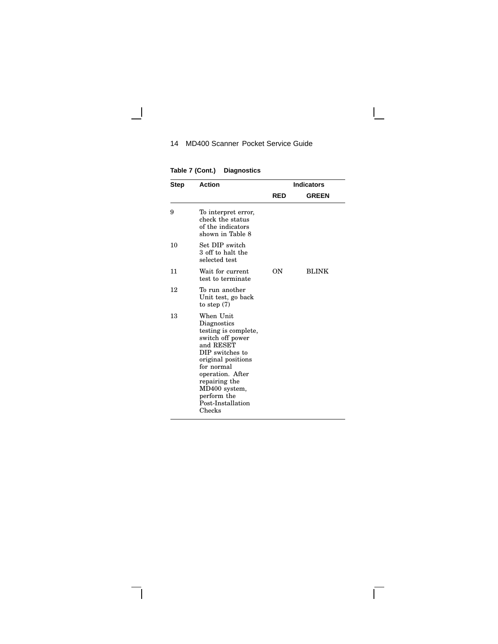$\Box$ 

 $\overline{\Gamma}$ 

**Table 7 (Cont.) Diagnostics**

 $\Box$ 

 $\overline{\phantom{a}}$ 

| Step | <b>Action</b>                                                                                                                                                                                                                                | <b>Indicators</b> |              |  |
|------|----------------------------------------------------------------------------------------------------------------------------------------------------------------------------------------------------------------------------------------------|-------------------|--------------|--|
|      |                                                                                                                                                                                                                                              | <b>RED</b>        | <b>GREEN</b> |  |
| 9    | To interpret error,<br>check the status<br>of the indicators<br>shown in Table 8                                                                                                                                                             |                   |              |  |
| 10   | Set DIP switch<br>3 off to halt the<br>selected test                                                                                                                                                                                         |                   |              |  |
| 11   | Wait for current<br>test to terminate                                                                                                                                                                                                        | OΝ                | <b>BLINK</b> |  |
| 12   | To run another<br>Unit test, go back<br>to step $(7)$                                                                                                                                                                                        |                   |              |  |
| 13   | When Unit<br>Diagnostics<br>testing is complete,<br>switch off power<br>and RESET<br>DIP switches to<br>original positions<br>for normal<br>operation. After<br>repairing the<br>MD400 system,<br>perform the<br>Post-Installation<br>Checks |                   |              |  |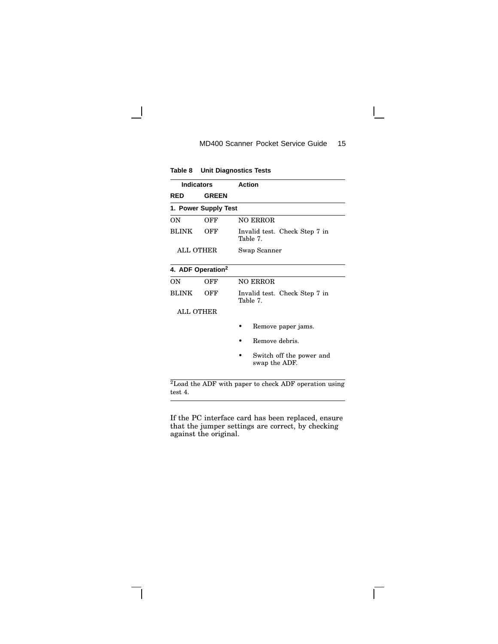**Table 8 Unit Diagnostics Tests**

 $\overline{\phantom{a}}$ 

 $\overline{\phantom{a}}$ 

| <b>Indicators</b>             |              | <b>Action</b>                             |  |
|-------------------------------|--------------|-------------------------------------------|--|
| <b>RED</b>                    | <b>GREEN</b> |                                           |  |
| 1. Power Supply Test          |              |                                           |  |
| OΝ                            | OFF          | <b>NO ERROR</b>                           |  |
| <b>BLINK</b>                  | OFF          | Invalid test. Check Step 7 in<br>Table 7. |  |
| ALL OTHER                     |              | Swap Scanner                              |  |
| 4. ADF Operation <sup>2</sup> |              |                                           |  |
| OΝ                            | OFF          | <b>NO ERROR</b>                           |  |
| <b>BLINK</b>                  | OFF          | Invalid test. Check Step 7 in<br>Table 7. |  |
| ALL OTHER                     |              |                                           |  |
|                               |              | Remove paper jams.                        |  |
|                               |              | Remove debris.                            |  |
|                               |              | Switch off the power and<br>swap the ADF. |  |

<sup>2</sup>Load the ADF with paper to check ADF operation using test 4.

If the PC interface card has been replaced, ensure that the jumper settings are correct, by checking against the original.

 $\overline{\Gamma}$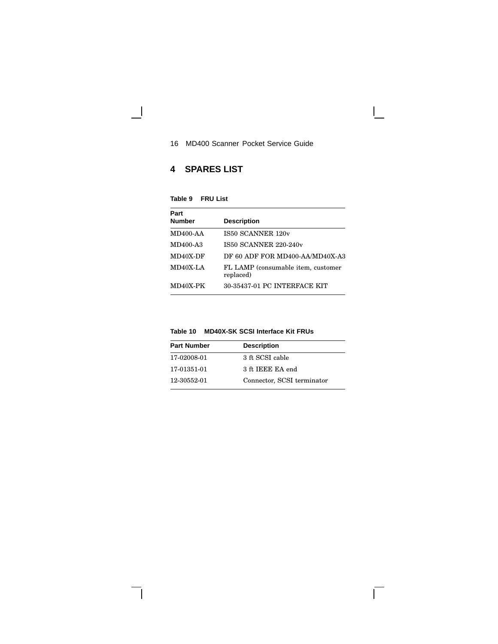$\mathbf{L}$ 

 $\overline{\Gamma}$ 

# **4 SPARES LIST**

| Table 9 | <b>FRU List</b> |  |
|---------|-----------------|--|
|---------|-----------------|--|

 $\overline{\phantom{0}}$ 

 $\mathbf{I}$ 

| Part            |                                                 |
|-----------------|-------------------------------------------------|
| <b>Number</b>   | <b>Description</b>                              |
| <b>MD400-AA</b> | IS50 SCANNER 120v                               |
| MD400-A3        | IS50 SCANNER 220-240v                           |
| MD40X-DF        | DF 60 ADF FOR MD400-AA/MD40X-A3                 |
| MD40X-LA        | FL LAMP (consumable item, customer<br>replaced) |
| MD40X-PK        | 30-35437-01 PC INTERFACE KIT                    |

| Table 10 | <b>MD40X-SK SCSI Interface Kit FRUs</b> |  |  |
|----------|-----------------------------------------|--|--|
|          |                                         |  |  |

| <b>Part Number</b> | <b>Description</b>         |
|--------------------|----------------------------|
| 17-02008-01        | 3 ft SCSI cable            |
| 17-01351-01        | 3 ft IEEE EA end           |
| 12-30552-01        | Connector, SCSI terminator |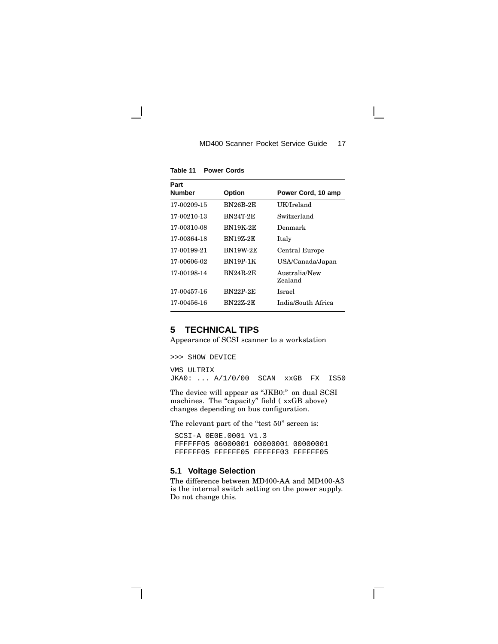| Part<br><b>Number</b> | <b>Option</b>   | Power Cord, 10 amp       |
|-----------------------|-----------------|--------------------------|
| 17-00209-15           | <b>BN26B-2E</b> | UK/Ireland               |
| 17-00210-13           | BN24T-2E        | Switzerland              |
| 17-00310-08           | BN19K-2E        | Denmark                  |
| 17-00364-18           | <b>BN19Z-2E</b> | Italy                    |
| 17-00199-21           | <b>BN19W-2E</b> | Central Europe           |
| 17-00606-02           | BN19P-1K        | USA/Canada/Japan         |
| 17-00198-14           | <b>BN24R-2E</b> | Australia/New<br>Zealand |
| 17-00457-16           | <b>BN22P-2E</b> | Israel                   |
| 17-00456-16           | BN22Z-2E        | India/South Africa       |

**Table 11 Power Cords**

## **5 TECHNICAL TIPS**

Appearance of SCSI scanner to a workstation

>>> SHOW DEVICE

VMS ULTRIX JKA0: ... A/1/0/00 SCAN xxGB FX IS50

The device will appear as "JKB0:" on dual SCSI machines. The "capacity" field (xxGB above) changes depending on bus configuration.

The relevant part of the "test 50" screen is:

SCSI-A 0E0E.0001 V1.3 FFFFFF05 06000001 00000001 00000001 FFFFFF05 FFFFFF05 FFFFFF03 FFFFFF05

## **5.1 Voltage Selection**

The difference between MD400-AA and MD400-A3 is the internal switch setting on the power supply. Do not change this.